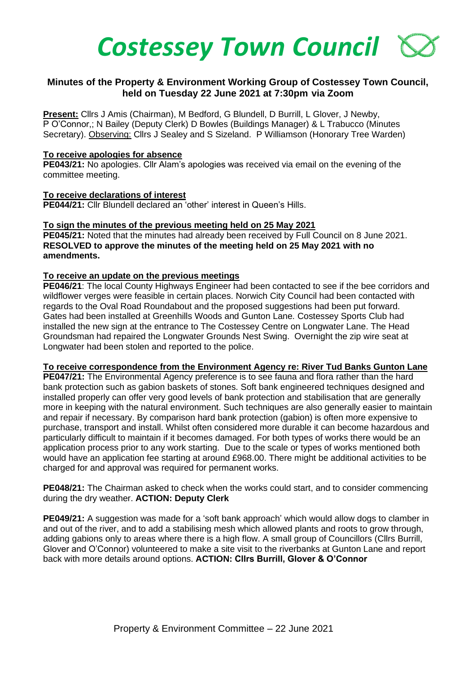

# **Minutes of the Property & Environment Working Group of Costessey Town Council, held on Tuesday 22 June 2021 at 7:30pm via Zoom**

**Present:** Cllrs J Amis (Chairman), M Bedford, G Blundell, D Burrill, L Glover, J Newby, P O'Connor,; N Bailey (Deputy Clerk) D Bowles (Buildings Manager) & L Trabucco (Minutes Secretary). Observing: Cllrs J Sealey and S Sizeland. P Williamson (Honorary Tree Warden)

### **To receive apologies for absence**

**PE043/21:** No apologies. Cllr Alam's apologies was received via email on the evening of the committee meeting.

### **To receive declarations of interest**

**PE044/21:** Cllr Blundell declared an 'other' interest in Queen's Hills.

### **To sign the minutes of the previous meeting held on 25 May 2021**

**PE045/21:** Noted that the minutes had already been received by Full Council on 8 June 2021. **RESOLVED to approve the minutes of the meeting held on 25 May 2021 with no amendments.**

### **To receive an update on the previous meetings**

**PE046/21**: The local County Highways Engineer had been contacted to see if the bee corridors and wildflower verges were feasible in certain places. Norwich City Council had been contacted with regards to the Oval Road Roundabout and the proposed suggestions had been put forward. Gates had been installed at Greenhills Woods and Gunton Lane. Costessey Sports Club had installed the new sign at the entrance to The Costessey Centre on Longwater Lane. The Head Groundsman had repaired the Longwater Grounds Nest Swing. Overnight the zip wire seat at Longwater had been stolen and reported to the police.

#### **To receive correspondence from the Environment Agency re: River Tud Banks Gunton Lane**

**PE047/21:** The Environmental Agency preference is to see fauna and flora rather than the hard bank protection such as gabion baskets of stones. Soft bank engineered techniques designed and installed properly can offer very good levels of bank protection and stabilisation that are generally more in keeping with the natural environment. Such techniques are also generally easier to maintain and repair if necessary. By comparison hard bank protection (gabion) is often more expensive to purchase, transport and install. Whilst often considered more durable it can become hazardous and particularly difficult to maintain if it becomes damaged. For both types of works there would be an application process prior to any work starting. Due to the scale or types of works mentioned both would have an application fee starting at around £968.00. There might be additional activities to be charged for and approval was required for permanent works.

**PE048/21:** The Chairman asked to check when the works could start, and to consider commencing during the dry weather. **ACTION: Deputy Clerk**

**PE049/21:** A suggestion was made for a 'soft bank approach' which would allow dogs to clamber in and out of the river, and to add a stabilising mesh which allowed plants and roots to grow through, adding gabions only to areas where there is a high flow. A small group of Councillors (Cllrs Burrill, Glover and O'Connor) volunteered to make a site visit to the riverbanks at Gunton Lane and report back with more details around options. **ACTION: Cllrs Burrill, Glover & O'Connor**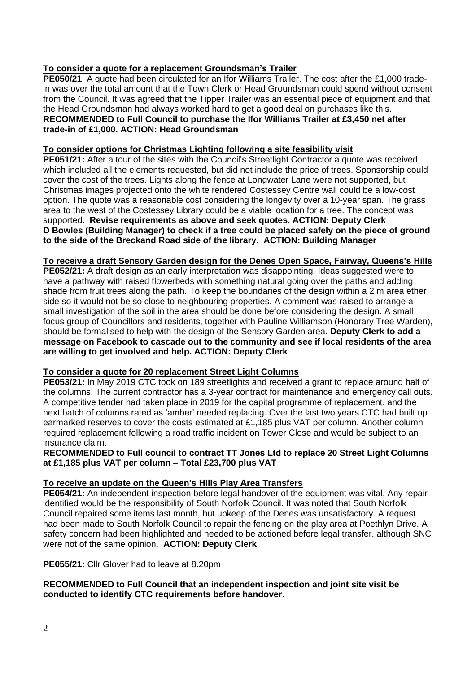# **To consider a quote for a replacement Groundsman's Trailer**

**PE050/21**: A quote had been circulated for an Ifor Williams Trailer. The cost after the £1,000 tradein was over the total amount that the Town Clerk or Head Groundsman could spend without consent from the Council. It was agreed that the Tipper Trailer was an essential piece of equipment and that the Head Groundsman had always worked hard to get a good deal on purchases like this. **RECOMMENDED to Full Council to purchase the Ifor Williams Trailer at £3,450 net after trade-in of £1,000. ACTION: Head Groundsman**

## **To consider options for Christmas Lighting following a site feasibility visit**

**PE051/21:** After a tour of the sites with the Council's Streetlight Contractor a quote was received which included all the elements requested, but did not include the price of trees. Sponsorship could cover the cost of the trees. Lights along the fence at Longwater Lane were not supported, but Christmas images projected onto the white rendered Costessey Centre wall could be a low-cost option. The quote was a reasonable cost considering the longevity over a 10-year span. The grass area to the west of the Costessey Library could be a viable location for a tree. The concept was supported. **Revise requirements as above and seek quotes. ACTION: Deputy Clerk D Bowles (Building Manager) to check if a tree could be placed safely on the piece of ground to the side of the Breckand Road side of the library. ACTION: Building Manager**

## **To receive a draft Sensory Garden design for the Denes Open Space, Fairway, Queens's Hills**

**PE052/21:** A draft design as an early interpretation was disappointing. Ideas suggested were to have a pathway with raised flowerbeds with something natural going over the paths and adding shade from fruit trees along the path. To keep the boundaries of the design within a 2 m area ether side so it would not be so close to neighbouring properties. A comment was raised to arrange a small investigation of the soil in the area should be done before considering the design. A small focus group of Councillors and residents, together with Pauline Williamson (Honorary Tree Warden), should be formalised to help with the design of the Sensory Garden area. **Deputy Clerk to add a message on Facebook to cascade out to the community and see if local residents of the area are willing to get involved and help. ACTION: Deputy Clerk**

## **To consider a quote for 20 replacement Street Light Columns**

**PE053/21:** In May 2019 CTC took on 189 streetlights and received a grant to replace around half of the columns. The current contractor has a 3-year contract for maintenance and emergency call outs. A competitive tender had taken place in 2019 for the capital programme of replacement, and the next batch of columns rated as 'amber' needed replacing. Over the last two years CTC had built up earmarked reserves to cover the costs estimated at £1,185 plus VAT per column. Another column required replacement following a road traffic incident on Tower Close and would be subject to an insurance claim.

**RECOMMENDED to Full council to contract TT Jones Ltd to replace 20 Street Light Columns at £1,185 plus VAT per column – Total £23,700 plus VAT** 

# **To receive an update on the Queen's Hills Play Area Transfers**

**PE054/21:** An independent inspection before legal handover of the equipment was vital. Any repair identified would be the responsibility of South Norfolk Council. It was noted that South Norfolk Council repaired some items last month, but upkeep of the Denes was unsatisfactory. A request had been made to South Norfolk Council to repair the fencing on the play area at Poethlyn Drive. A safety concern had been highlighted and needed to be actioned before legal transfer, although SNC were not of the same opinion. **ACTION: Deputy Clerk**

**PE055/21:** Cllr Glover had to leave at 8.20pm

**RECOMMENDED to Full Council that an independent inspection and joint site visit be conducted to identify CTC requirements before handover.**